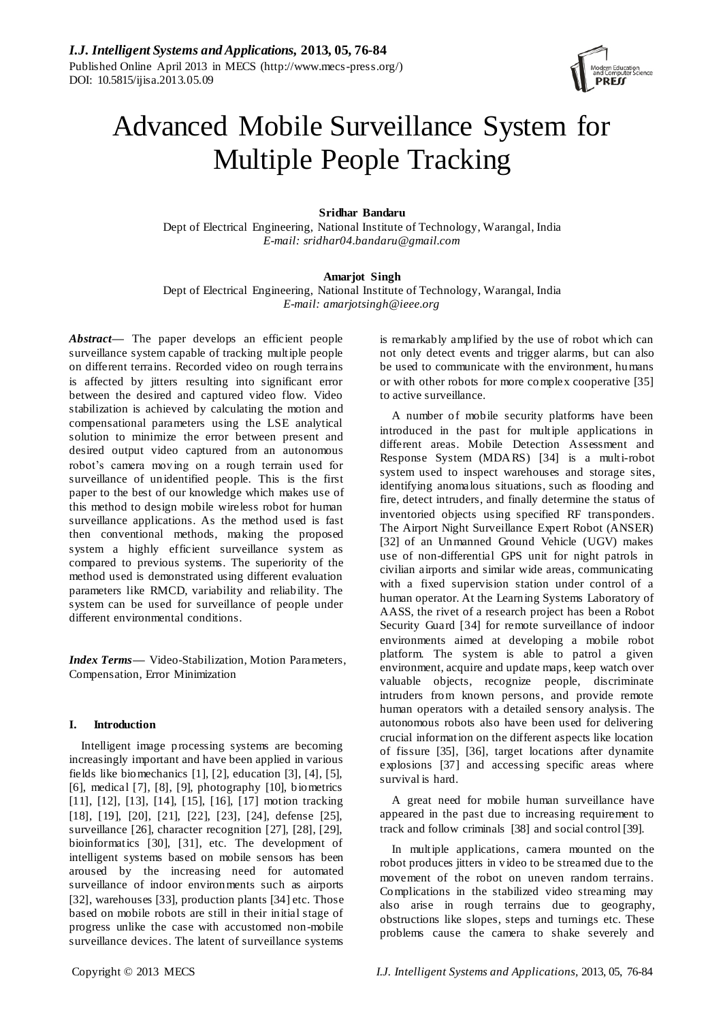

# Advanced Mobile Surveillance System for Multiple People Tracking

# **Sridhar Bandaru**

Dept of Electrical Engineering, National Institute of Technology, Warangal, India *E-mail: sridhar04.bandaru@gmail.com*

# **Amarjot Singh**

Dept of Electrical Engineering, National Institute of Technology, Warangal, India *E-mail: amarjotsingh@ieee.org*

Abstract— The paper develops an efficient people surveillance system capable of tracking multiple people on different terrains. Recorded video on rough terrains is affected by jitters resulting into significant error between the desired and captured video flow. Video stabilization is achieved by calculating the motion and compensational parameters using the LSE analytical solution to minimize the error between present and desired output video captured from an autonomous robot's camera moving on a rough terrain used for surveillance of unidentified people. This is the first paper to the best of our knowledge which makes use of this method to design mobile wireless robot for human surveillance applications. As the method used is fast then conventional methods, making the proposed system a highly efficient surveillance system as compared to previous systems. The superiority of the method used is demonstrated using different evaluation parameters like RMCD, variability and reliability. The system can be used for surveillance of people under different environmental conditions.

*Index Terms***—** Video-Stabilization, Motion Parameters, Compensation, Error Minimization

# **I. Introduction**

Intelligent image processing systems are becoming increasingly important and have been applied in various fields like biomechanics [1], [2], education [3], [4], [5], [6], medical [7], [8], [9], photography [10], biometrics [11], [12], [13], [14], [15], [16], [17] motion tracking [18], [19], [20], [21], [22], [23], [24], defense [25], surveillance [26], character recognition [27], [28], [29], bioinformatics [30], [31], etc. The development of intelligent systems based on mobile sensors has been aroused by the increasing need for automated surveillance of indoor environments such as airports [32], warehouses [33], production plants [34] etc. Those based on mobile robots are still in their initial stage of progress unlike the case with accustomed non-mobile surveillance devices. The latent of surveillance systems

is remarkably amplified by the use of robot which can not only detect events and trigger alarms, but can also be used to communicate with the environment, humans or with other robots for more complex cooperative [35] to active surveillance.

A number of mobile security platforms have been introduced in the past for multiple applications in different areas. Mobile Detection Assessment and Response System (MDARS) [34] is a multi-robot system used to inspect warehouses and storage sites, identifying anomalous situations, such as flooding and fire, detect intruders, and finally determine the status of inventoried objects using specified RF transponders. The Airport Night Surveillance Expert Robot (ANSER) [32] of an Unmanned Ground Vehicle (UGV) makes use of non-differential GPS unit for night patrols in civilian airports and similar wide areas, communicating with a fixed supervision station under control of a human operator. At the Learning Systems Laboratory of AASS, the rivet of a research project has been a Robot Security Guard [34] for remote surveillance of indoor environments aimed at developing a mobile robot platform. The system is able to patrol a given environment, acquire and update maps, keep watch over valuable objects, recognize people, discriminate intruders from known persons, and provide remote human operators with a detailed sensory analysis. The autonomous robots also have been used for delivering crucial information on the different aspects like location of fissure [35], [36], target locations after dynamite explosions [37] and accessing specific areas where survival is hard.

A great need for mobile human surveillance have appeared in the past due to increasing requirement to track and follow criminals [38] and social control [39].

In multiple applications, camera mounted on the robot produces jitters in video to be streamed due to the movement of the robot on uneven random terrains. Complications in the stabilized video streaming may also arise in rough terrains due to geography, obstructions like slopes, steps and turnings etc. These problems cause the camera to shake severely and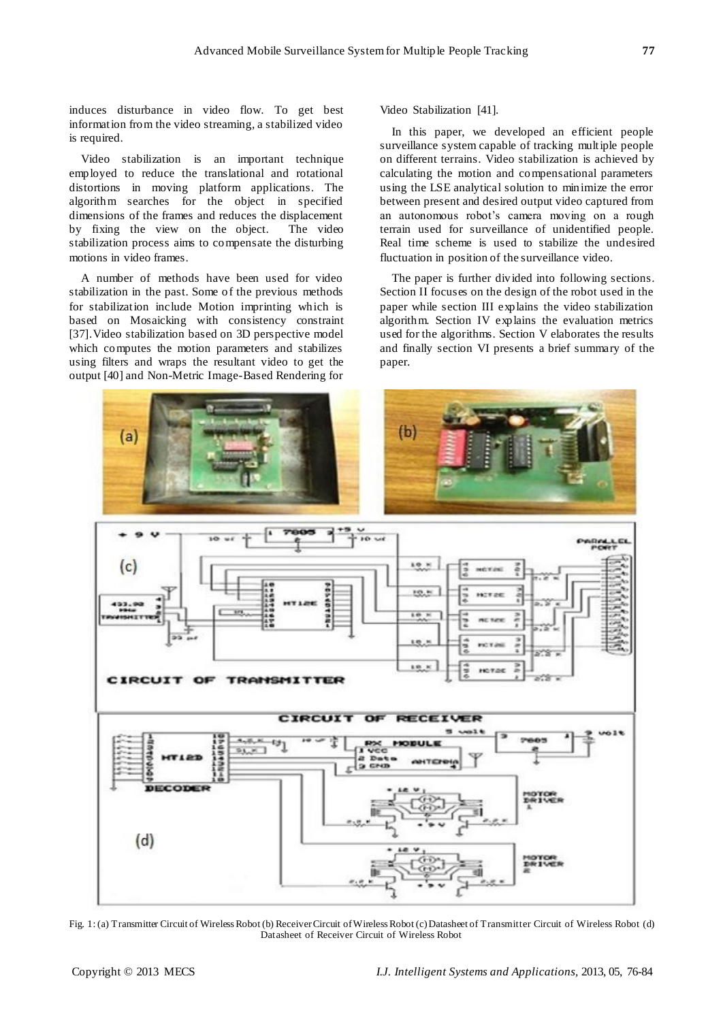induces disturbance in video flow. To get best information from the video streaming, a stabilized video is required.

Video stabilization is an important technique employed to reduce the translational and rotational distortions in moving platform applications. The algorithm searches for the object in specified dimensions of the frames and reduces the displacement by fixing the view on the object. The video stabilization process aims to compensate the disturbing motions in video frames.

A number of methods have been used for video stabilization in the past. Some of the previous methods for stabilization include Motion imprinting which is based on Mosaicking with consistency constraint [37].Video stabilization based on 3D perspective model which computes the motion parameters and stabilizes using filters and wraps the resultant video to get the output [40] and Non-Metric Image-Based Rendering for

Video Stabilization [41].

In this paper, we developed an efficient people surveillance system capable of tracking multiple people on different terrains. Video stabilization is achieved by calculating the motion and compensational parameters using the LSE analytical solution to minimize the error between present and desired output video captured from an autonomous robot's camera moving on a rough terrain used for surveillance of unidentified people. Real time scheme is used to stabilize the undesired fluctuation in position of the surveillance video.

The paper is further divided into following sections. Section II focuses on the design of the robot used in the paper while section III explains the video stabilization algorithm. Section IV explains the evaluation metrics used for the algorithms. Section V elaborates the results and finally section VI presents a brief summary of the paper.



Fig. 1: (a) Transmitter Circuit of Wireless Robot (b) Receiver Circuit of Wireless Robot (c) Datasheet of Transmitter Circuit of Wireless Robot (d) Datasheet of Receiver Circuit of Wireless Robot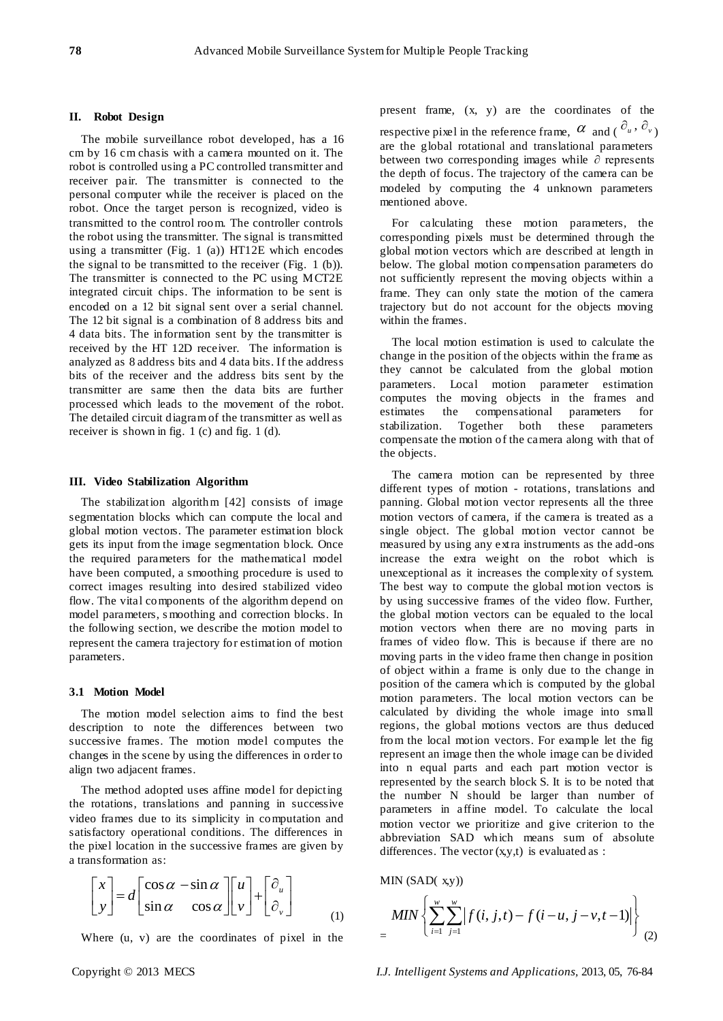## **II. Robot Design**

The mobile surveillance robot developed, has a 16 cm by 16 cm chasis with a camera mounted on it. The robot is controlled using a PC controlled transmitter and receiver pair. The transmitter is connected to the personal computer while the receiver is placed on the robot. Once the target person is recognized, video is transmitted to the control room. The controller controls the robot using the transmitter. The signal is transmitted using a transmitter (Fig. 1 (a)) HT12E which encodes the signal to be transmitted to the receiver (Fig. 1 (b)). The transmitter is connected to the PC using MCT2E integrated circuit chips. The information to be sent is encoded on a 12 bit signal sent over a serial channel. The 12 bit signal is a combination of 8 address bits and 4 data bits. The information sent by the transmitter is received by the HT 12D receiver. The information is analyzed as 8 address bits and 4 data bits. If the address bits of the receiver and the address bits sent by the transmitter are same then the data bits are further processed which leads to the movement of the robot. The detailed circuit diagram of the transmitter as well as receiver is shown in fig. 1 (c) and fig. 1 (d).

## **III. Video Stabilization Algorithm**

The stabilization algorithm [42] consists of image segmentation blocks which can compute the local and global motion vectors. The parameter estimation block gets its input from the image segmentation block. Once the required parameters for the mathematical model have been computed, a smoothing procedure is used to correct images resulting into desired stabilized video flow. The vital components of the algorithm depend on model parameters, s moothing and correction blocks. In the following section, we describe the motion model to represent the camera trajectory for estimation of motion parameters.

# **3.1 Motion Model**

The motion model selection aims to find the best description to note the differences between two successive frames. The motion model computes the changes in the scene by using the differences in order to align two adjacent frames.

The method adopted uses affine model for depicting the rotations, translations and panning in successive video frames due to its simplicity in computation and satisfactory operational conditions. The differences in the pixel location in the successive frames are given by a transformation as:

$$
\begin{bmatrix} x \\ y \end{bmatrix} = d \begin{bmatrix} \cos \alpha & -\sin \alpha \\ \sin \alpha & \cos \alpha \end{bmatrix} \begin{bmatrix} u \\ v \end{bmatrix} + \begin{bmatrix} \partial_u \\ \partial_v \end{bmatrix}
$$
 (1)

Where (u, v) are the coordinates of pixel in the

present frame, (x, y) are the coordinates of the respective pixel in the reference frame,  $\alpha$  and  $(\partial_u, \partial_v)$ are the global rotational and translational parameters between two corresponding images while ∂ represents the depth of focus. The trajectory of the camera can be modeled by computing the 4 unknown parameters mentioned above.

For calculating these motion parameters, the corresponding pixels must be determined through the global motion vectors which are described at length in below. The global motion compensation parameters do not sufficiently represent the moving objects within a frame. They can only state the motion of the camera trajectory but do not account for the objects moving within the frames.

The local motion estimation is used to calculate the change in the position of the objects within the frame as they cannot be calculated from the global motion parameters. Local motion parameter estimation computes the moving objects in the frames and estimates the compensational parameters for stabilization. Together both these parameters compensate the motion of the camera along with that of the objects.

The camera motion can be represented by three different types of motion - rotations, translations and panning. Global motion vector represents all the three motion vectors of camera, if the camera is treated as a single object. The global motion vector cannot be measured by using any extra instruments as the add-ons increase the extra weight on the robot which is unexceptional as it increases the complexity of system. The best way to compute the global motion vectors is by using successive frames of the video flow. Further, the global motion vectors can be equaled to the local motion vectors when there are no moving parts in frames of video flow. This is because if there are no moving parts in the video frame then change in position of object within a frame is only due to the change in position of the camera which is computed by the global motion parameters. The local motion vectors can be calculated by dividing the whole image into small regions, the global motions vectors are thus deduced from the local motion vectors. For example let the fig represent an image then the whole image can be divided into n equal parts and each part motion vector is represented by the search block S. It is to be noted that the number N should be larger than number of parameters in affine model. To calculate the local motion vector we prioritize and give criterion to the abbreviation SAD which means sum of absolute differences. The vector  $(x,y,t)$  is evaluated as :

MIN (SAD(
$$
x,y
$$
))  
\n
$$
MIN \left\{ \sum_{i=1}^{w} \sum_{j=1}^{w} |f(i, j, t) - f(i-u, j-v, t-1)| \right\}
$$
\n(2)

Copyright © 2013 MECS *I.J. Intelligent Systems and Applications,* 2013, 05, 76-84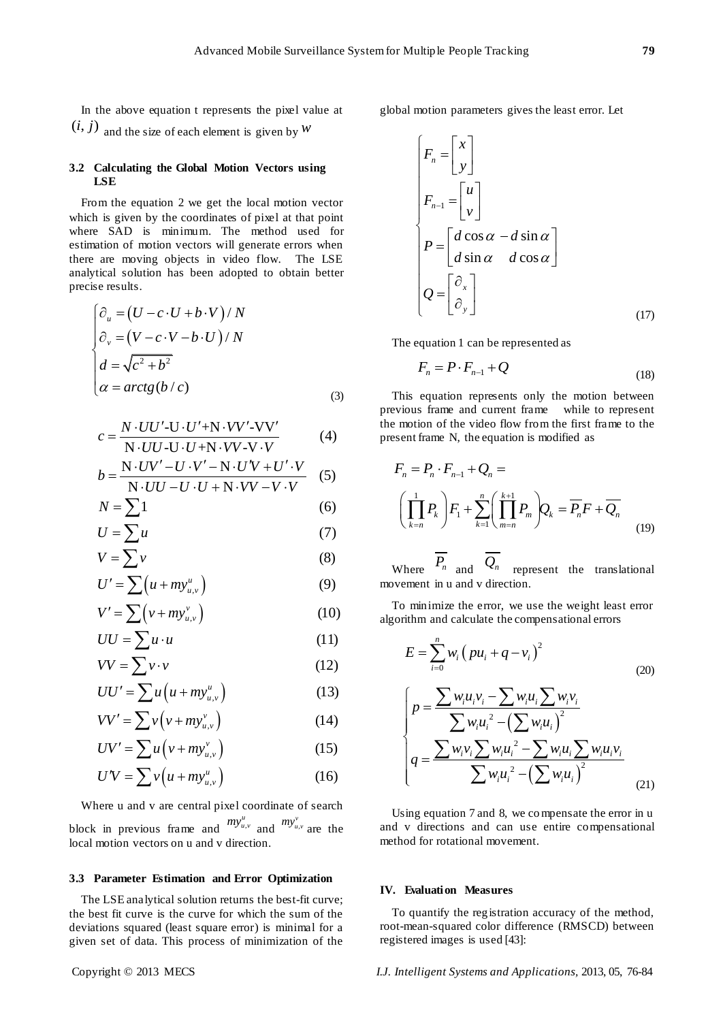In the above equation t represents the pixel value at  $(i, j)$  and the size of each element is given by  $W$ 

# **3.2 Calculating the Global Motion Vectors using LSE**

From the equation 2 we get the local motion vector which is given by the coordinates of pixel at that point where SAD is minimum. The method used for estimation of motion vectors will generate errors when there are moving objects in video flow. The LSE analytical solution has been adopted to obtain better precise results.

$$
\begin{cases}\n\frac{\partial_u}{\partial v} = (U - c \cdot U + b \cdot V) / N \\
\frac{\partial_v}{\partial v} = (V - c \cdot V - b \cdot U) / N \\
d = \sqrt{c^2 + b^2} \\
\alpha = \arctg(b/c)\n\end{cases} \tag{3}
$$

$$
c = \frac{N \cdot UU' - U \cdot U' + N \cdot VV' - VV'}{N \cdot UU - U \cdot U + N \cdot VV - V \cdot V}
$$
(4)

$$
U = \frac{\overline{N \cdot UU \cdot U \cdot U + N \cdot VV \cdot V \cdot V}}{N \cdot UV' - U \cdot V' - N \cdot U'V + U' \cdot V}
$$
(4)  

$$
b = \frac{\overline{N \cdot UV' - U \cdot U + N \cdot VV - V \cdot V}}{N \cdot UU - U \cdot U + N \cdot VV - V \cdot V}
$$
(5)

$$
N \cdot UU - U \cdot U + N \cdot VV - V \cdot V
$$
  

$$
N = \sum 1
$$
 (6)

$$
N = \sum 1
$$
\n
$$
U = \sum u
$$
\n(6)

$$
U = \sum u
$$
  

$$
V = \sum v
$$
 (7)

$$
V = \sum V
$$
\n
$$
U' = \sum (u + my_{u,v}^{u})
$$
\n(8)

$$
U = \sum (u + my_{u,v})
$$
(9)  

$$
V' = \sum (v + my_{u,v}^v)
$$
(10)  

$$
UU = \sum u \cdot u
$$
(11)

$$
UU = \sum u \cdot u \tag{11}
$$

$$
VV = \sum v \cdot v \tag{12}
$$

$$
VV = \sum v \cdot v \tag{12}
$$
  

$$
UU' = \sum u \left( u + m y_{u,v}^u \right) \tag{13}
$$

$$
UU' = \sum u(u + my_{u,v}^{u})
$$
 (13)  

$$
VV' = \sum v(v + my_{u,v}^{v})
$$
 (14)

$$
VV' = \sum v(v + my_{u,v}^v)
$$
 (14)

$$
VV' = \sum v (v + my_{u,v})
$$
(14)  

$$
UV' = \sum u (v + my_{u,v}^v)
$$
(15)  

$$
UV = \sum v (u + my_{u,v}^u)
$$
(16)

$$
U'V = \sum v(u + m y_{u,v}^u)
$$
 (16)

Where u and v are central pixel coordinate of search block in previous frame and  $my_{u,v}^u$  and  $my_{u,v}^v$  are the local motion vectors on u and v direction.

## **3.3 Parameter Estimation and Error Optimization**

The LSE analytical solution returns the best-fit curve; the best fit curve is the curve for which the sum of the deviations squared (least square error) is minimal for a given set of data. This process of minimization of the

global motion parameters gives the least error. Let

$$
\begin{cases}\nF_n = \begin{bmatrix} x \\ y \end{bmatrix} \\
F_{n-1} = \begin{bmatrix} u \\ v \end{bmatrix} \\
P = \begin{bmatrix} d\cos\alpha - d\sin\alpha \\ d\sin\alpha & d\cos\alpha \end{bmatrix} \\
Q = \begin{bmatrix} \partial_x \\ \partial_y \end{bmatrix} \tag{17}
$$

The equation 1 can be represented as

$$
F_n = P \cdot F_{n-1} + Q \tag{18}
$$

This equation represents only the motion between previous frame and current frame while to represent the motion of the video flow from the first frame to the present frame N, the equation is modified as

$$
F_n = P_n \cdot F_{n-1} + Q_n =
$$
  

$$
\left(\prod_{k=n}^{1} P_k\right) F_1 + \sum_{k=1}^{n} \left(\prod_{m=n}^{k+1} P_m\right) Q_k = \overline{P_n} F + \overline{Q_n}
$$
 (19)

Where  $P_n$  and  $Q_n$  represent the translational movement in u and v direction.

To minimize the error, we use the weight least error algorithm and calculate the compensational errors

$$
E = \sum_{i=0}^{n} w_i (pu_i + q - v_i)^2
$$
\n
$$
\begin{cases}\np = \frac{\sum w_i u_i v_i - \sum w_i u_i \sum w_i v_i}{\sum w_i u_i^2 - (\sum w_i u_i)^2} \\
q = \frac{\sum w_i v_i \sum w_i u_i^2 - \sum w_i u_i \sum w_i u_i v_i}{\sum w_i u_i^2 - (\sum w_i u_i)^2}\n\end{cases}
$$
\n(20)

Using equation 7 and 8, we compensate the error in u and v directions and can use entire compensational method for rotational movement.

#### **IV. Evaluation Measures**

To quantify the registration accuracy of the method, root-mean-squared color difference (RMSCD) between registered images is used [43]:

Copyright © 2013 MECS *I.J. Intelligent Systems and Applications,* 2013, 05, 76-84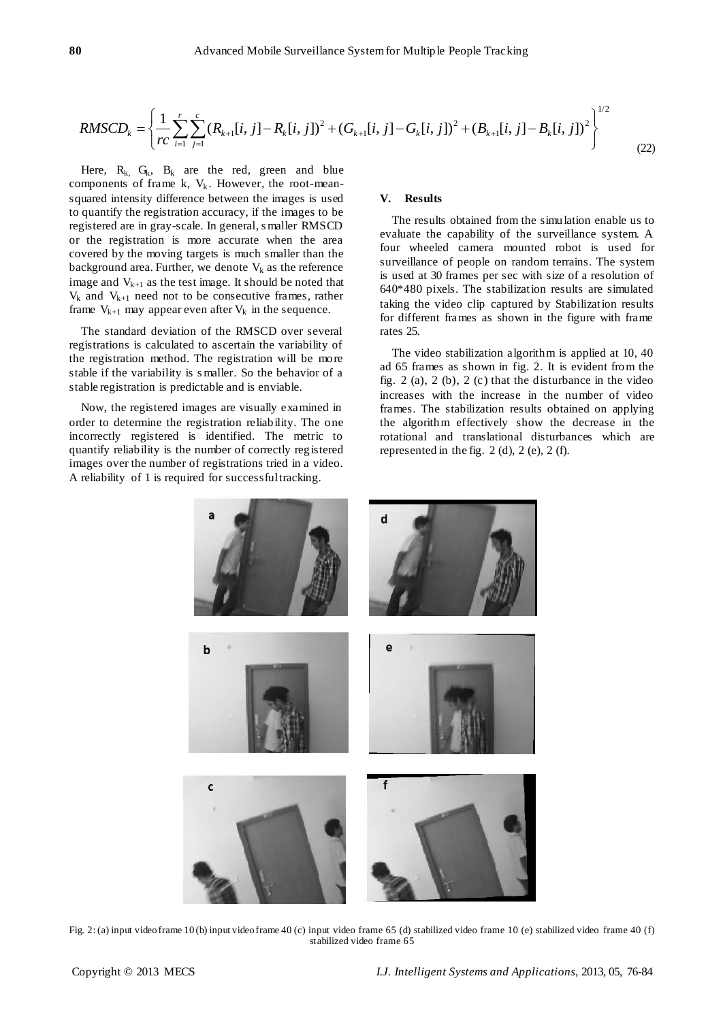Advanced Mobile Survey  
system for Multiple People Tracking

\n
$$
RMSCD_k = \left\{ \frac{1}{rc} \sum_{i=1}^{r} \sum_{j=1}^{c} (R_{k+1}[i, j] - R_k[i, j])^2 + (G_{k+1}[i, j] - G_k[i, j])^2 + (B_{k+1}[i, j] - B_k[i, j])^2 \right\}^{1/2}
$$
\n(22)

Here,  $R_k$ ,  $G_k$ ,  $B_k$  are the red, green and blue components of frame k,  $V_k$ . However, the root-meansquared intensity difference between the images is used to quantify the registration accuracy, if the images to be registered are in gray-scale. In general, s maller RMSCD or the registration is more accurate when the area covered by the moving targets is much smaller than the background area. Further, we denote  $V_k$  as the reference image and  $V_{k+1}$  as the test image. It should be noted that  $V_k$  and  $V_{k+1}$  need not to be consecutive frames, rather frame  $V_{k+1}$  may appear even after  $V_k$  in the sequence.

The standard deviation of the RMSCD over several registrations is calculated to ascertain the variability of the registration method. The registration will be more stable if the variability is s maller. So the behavior of a stable registration is predictable and is enviable.

Now, the registered images are visually examined in order to determine the registration reliability. The one incorrectly registered is identified. The metric to quantify reliability is the number of correctly registered images over the number of registrations tried in a video. A reliability of 1 is required for successful tracking.

#### **V. Results**

The results obtained from the simulation enable us to evaluate the capability of the surveillance system. A four wheeled camera mounted robot is used for surveillance of people on random terrains. The system is used at 30 frames per sec with size of a resolution of 640\*480 pixels. The stabilization results are simulated taking the video clip captured by Stabilization results for different frames as shown in the figure with frame rates 25.

The video stabilization algorithm is applied at 10, 40 ad 65 frames as shown in fig. 2. It is evident from the fig.  $2$  (a),  $2$  (b),  $2$  (c) that the disturbance in the video increases with the increase in the number of video frames. The stabilization results obtained on applying the algorithm effectively show the decrease in the rotational and translational disturbances which are represented in the fig. 2 (d), 2 (e), 2 (f).



Fig. 2: (a) input video frame 10 (b) input video frame 40 (c) input video frame 65 (d) stabilized video frame 10 (e) stabilized video frame 40 (f) stabilized video frame 65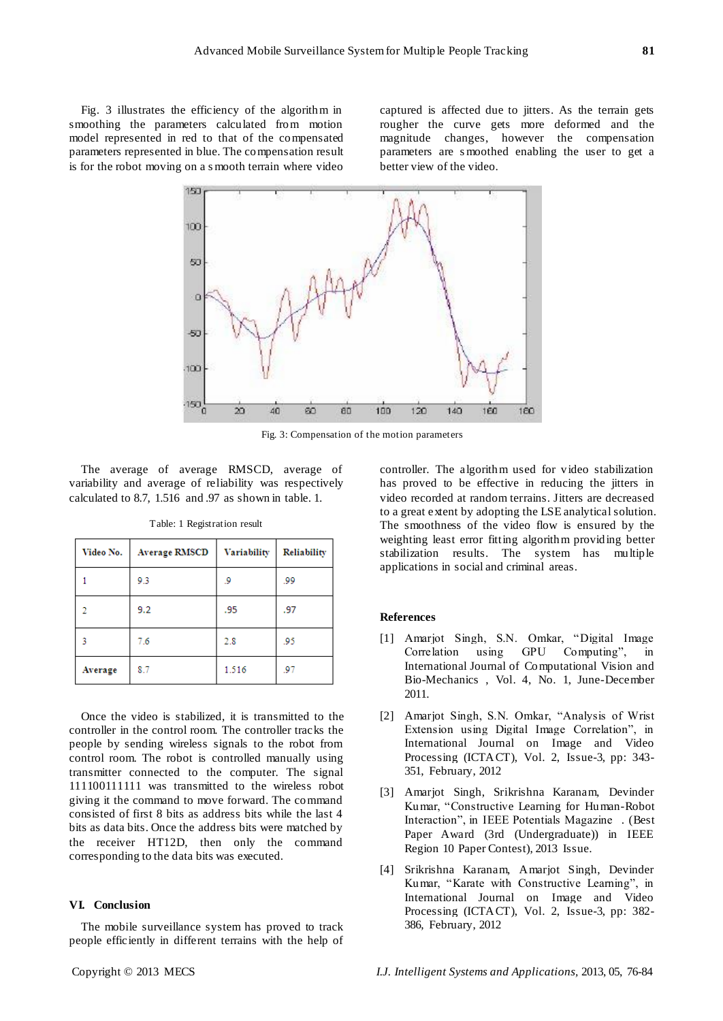Fig. 3 illustrates the efficiency of the algorithm in smoothing the parameters calculated from motion model represented in red to that of the compensated parameters represented in blue. The compensation result is for the robot moving on a s mooth terrain where video

captured is affected due to jitters. As the terrain gets rougher the curve gets more deformed and the magnitude changes, however the compensation parameters are s moothed enabling the user to get a better view of the video.



Fig. 3: Compensation of the motion parameters

The average of average RMSCD, average of variability and average of reliability was respectively calculated to 8.7, 1.516 and .97 as shown in table. 1.

| Video No. | <b>Average RMSCD</b> | Variability | Reliability |
|-----------|----------------------|-------------|-------------|
|           | 9.3                  | و.          | .99         |
| o.        | 9.2                  | .95         | .97         |
| 3         | 7.6                  | 2.8         | .95         |
| Average   | 8.7                  | 1.516       | .97         |

Table: 1 Registration result

Once the video is stabilized, it is transmitted to the controller in the control room. The controller tracks the people by sending wireless signals to the robot from control room. The robot is controlled manually using transmitter connected to the computer. The signal 111100111111 was transmitted to the wireless robot giving it the command to move forward. The command consisted of first 8 bits as address bits while the last 4 bits as data bits. Once the address bits were matched by the receiver HT12D, then only the command corresponding to the data bits was executed.

## **VI. Conclusion**

The mobile surveillance system has proved to track people efficiently in different terrains with the help of

controller. The algorithm used for video stabilization has proved to be effective in reducing the jitters in video recorded at random terrains. Jitters are decreased to a great extent by adopting the LSE analytical solution. The smoothness of the video flow is ensured by the weighting least error fitting algorithm providing better stabilization results. The system has multiple applications in social and criminal areas.

#### **References**

- [1] Amarjot Singh, S.N. Omkar, "Digital Image Correlation using GPU Computing", in International Journal of Computational Vision and Bio-Mechanics , Vol. 4, No. 1, June-December 2011.
- [2] Amarjot Singh, S.N. Omkar, "Analysis of Wrist Extension using Digital Image Correlation", in International Journal on Image and Video Processing (ICTACT), Vol. 2, Issue-3, pp: 343- 351, February, 2012
- [3] Amarjot Singh, Srikrishna Karanam, Devinder Kumar, "Constructive Learning for Human-Robot Interaction", in IEEE Potentials Magazine . (Best Paper Award (3rd (Undergraduate)) in IEEE Region 10 Paper Contest), 2013 Issue.
- [4] Srikrishna Karanam, Amarjot Singh, Devinder Kumar, "Karate with Constructive Learning", in International Journal on Image and Video Processing (ICTACT), Vol. 2, Issue-3, pp: 382- 386, February, 2012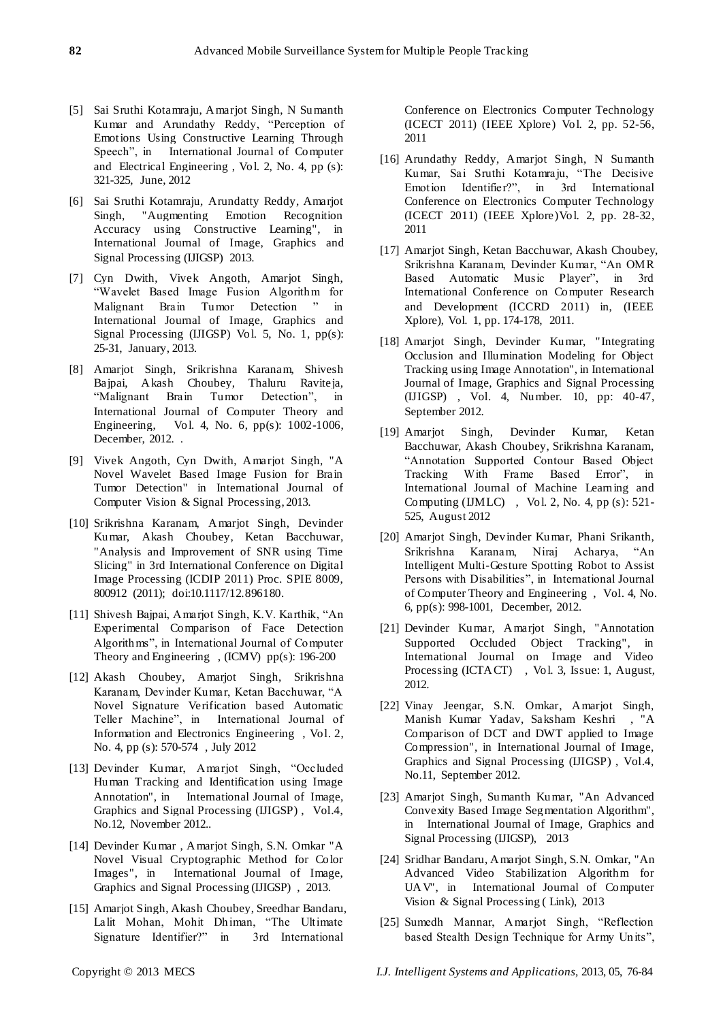- [5] Sai Sruthi Kotamraju, Amarjot Singh, N Sumanth Kumar and Arundathy Reddy, "Perception of Emotions Using Constructive Learning Through Speech", in International Journal of Computer and Electrical Engineering , Vol. 2, No. 4, pp (s): 321-325, June, 2012
- [6] Sai Sruthi Kotamraju, Arundatty Reddy, Amarjot Singh, "Augmenting Emotion Recognition Accuracy using Constructive Learning", in International Journal of Image, Graphics and Signal Processing (IJIGSP) 2013.
- [7] Cyn Dwith, Vivek Angoth, Amarjot Singh, "Wavelet Based Image Fusion Algorithm for Malignant Brain Tumor Detection " in International Journal of Image, Graphics and Signal Processing (IJIGSP) Vol. 5, No. 1, pp(s): 25-31, January, 2013.
- [8] Amarjot Singh, Srikrishna Karanam, Shivesh Bajpai, Akash Choubey, Thaluru Raviteja, "Malignant Brain Tumor Detection", in International Journal of Computer Theory and Engineering, Vol. 4, No. 6, pp(s): 1002-1006, December, 2012. .
- [9] Vivek Angoth, Cyn Dwith, Amarjot Singh, "A Novel Wavelet Based Image Fusion for Brain Tumor Detection" in International Journal of Computer Vision & Signal Processing, 2013.
- [10] Srikrishna Karanam, Amarjot Singh, Devinder Kumar, Akash Choubey, Ketan Bacchuwar, "Analysis and Improvement of SNR using Time Slicing" in 3rd International Conference on Digital Image Processing (ICDIP 2011) Proc. SPIE 8009, 800912 (2011); doi:10.1117/12.896180.
- [11] Shivesh Bajpai, Amarjot Singh, K.V. Karthik, "An Experimental Comparison of Face Detection Algorithms", in International Journal of Computer Theory and Engineering , (ICMV) pp(s): 196-200
- [12] Akash Choubey, Amarjot Singh, Srikrishna Karanam, Devinder Kumar, Ketan Bacchuwar, "A Novel Signature Verification based Automatic Teller Machine", in International Journal of Information and Electronics Engineering , Vol. 2, No. 4, pp (s): 570-574 , July 2012
- [13] Devinder Kumar, Amarjot Singh, "Occluded Human Tracking and Identification using Image Annotation", in International Journal of Image, Graphics and Signal Processing (IJIGSP) , Vol.4, No.12, November 2012..
- [14] Devinder Kumar , Amarjot Singh, S.N. Omkar "A Novel Visual Cryptographic Method for Color Images", in International Journal of Image, Graphics and Signal Processing (IJIGSP) , 2013.
- [15] Amarjot Singh, Akash Choubey, Sreedhar Bandaru, Lalit Mohan, Mohit Dhiman, "The Ultimate Signature Identifier?" in 3rd International

Conference on Electronics Computer Technology (ICECT 2011) (IEEE Xplore) Vol. 2, pp. 52-56, 2011

- [16] Arundathy Reddy, Amarjot Singh, N Sumanth Kumar, Sai Sruthi Kotamraju, "The Decisive Emotion Identifier?", in 3rd International Conference on Electronics Computer Technology (ICECT 2011) (IEEE Xplore)Vol. 2, pp. 28-32, 2011
- [17] Amarjot Singh, Ketan Bacchuwar, Akash Choubey, Srikrishna Karanam, Devinder Kumar, "An OMR Based Automatic Music Player", in 3rd International Conference on Computer Research and Development (ICCRD 2011) in, (IEEE Xplore), Vol. 1, pp. 174-178, 2011.
- [18] Amarjot Singh, Devinder Kumar, "Integrating Occlusion and Illumination Modeling for Object Tracking using Image Annotation", in International Journal of Image, Graphics and Signal Processing (IJIGSP) , Vol. 4, Number. 10, pp: 40-47, September 2012.
- [19] Amarjot Singh, Devinder Kumar, Ketan Bacchuwar, Akash Choubey, Srikrishna Karanam, "Annotation Supported Contour Based Object Tracking With Frame Based Error", in International Journal of Machine Learning and Computing (IJMLC), Vol. 2, No. 4, pp  $(s)$ : 521-525, August 2012
- [20] Amarjot Singh, Devinder Kumar, Phani Srikanth, Srikrishna Karanam, Niraj Acharya, "An Intelligent Multi-Gesture Spotting Robot to Assist Persons with Disabilities", in International Journal of Computer Theory and Engineering , Vol. 4, No. 6, pp(s): 998-1001, December, 2012.
- [21] Devinder Kumar, Amarjot Singh, "Annotation Supported Occluded Object Tracking", in International Journal on Image and Video Processing (ICTACT) , Vol. 3, Issue: 1, August, 2012.
- [22] Vinay Jeengar, S.N. Omkar, Amarjot Singh, Manish Kumar Yadav, Saksham Keshri , "A Comparison of DCT and DWT applied to Image Compression", in International Journal of Image, Graphics and Signal Processing (IJIGSP) , Vol.4, No.11, September 2012.
- [23] Amarjot Singh, Sumanth Kumar, "An Advanced Convexity Based Image Segmentation Algorithm", in International Journal of Image, Graphics and Signal Processing (IJIGSP), 2013
- [24] Sridhar Bandaru, Amarjot Singh, S.N. Omkar, "An Advanced Video Stabilization Algorithm for UAV", in International Journal of Computer Vision & Signal Processing ( Link), 2013
- [25] Sumedh Mannar, Amarjot Singh, "Reflection based Stealth Design Technique for Army Units",

Copyright © 2013 MECS *I.J. Intelligent Systems and Applications,* 2013, 05, 76-84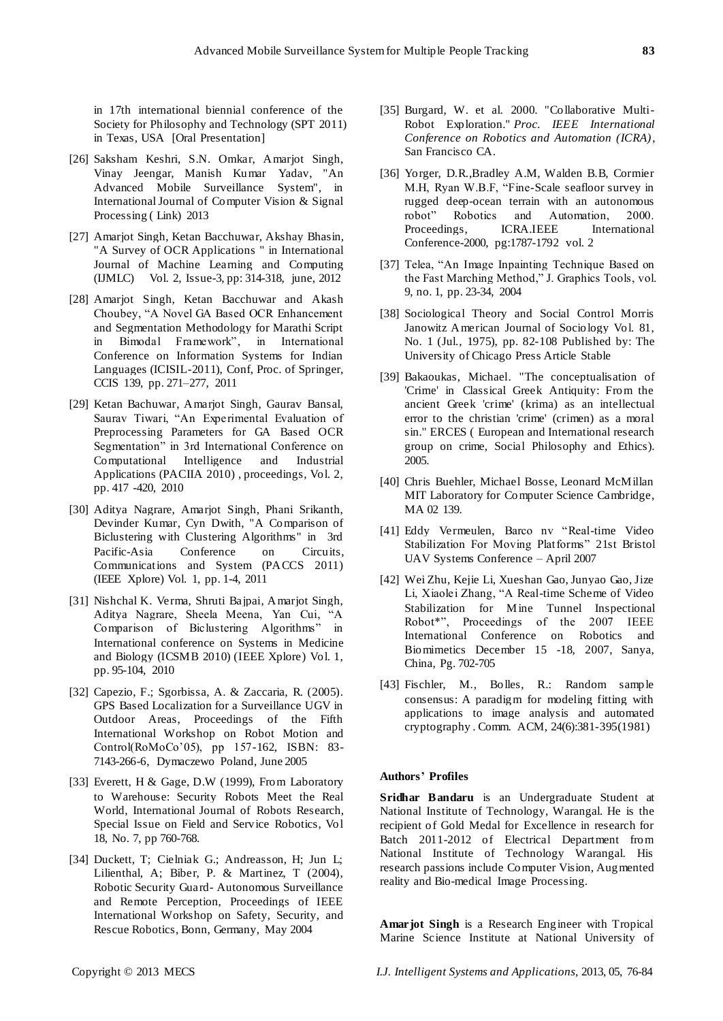in 17th international biennial conference of the Society for Philosophy and Technology (SPT 2011) in Texas, USA [Oral Presentation]

- [26] Saksham Keshri, S.N. Omkar, Amarjot Singh, Vinay Jeengar, Manish Kumar Yadav, "An Advanced Mobile Surveillance System", in International Journal of Computer Vision & Signal Processing ( Link) 2013
- [27] Amarjot Singh, Ketan Bacchuwar, Akshay Bhasin, "A Survey of OCR Applications " in International Journal of Machine Learning and Computing (IJMLC) Vol. 2, Issue-3, pp: 314-318, june, 2012
- [28] Amarjot Singh, Ketan Bacchuwar and Akash Choubey, "A Novel GA Based OCR Enhancement and Segmentation Methodology for Marathi Script in Bimodal Framework", in International Conference on Information Systems for Indian Languages (ICISIL-2011), Conf, Proc. of Springer, CCIS 139, pp. 271–277, 2011
- [29] Ketan Bachuwar, Amarjot Singh, Gaurav Bansal, Saurav Tiwari, "An Experimental Evaluation of Preprocessing Parameters for GA Based OCR Segmentation" in 3rd International Conference on Computational Intelligence and Industrial Applications (PACIIA 2010) , proceedings, Vol. 2, pp. 417 -420, 2010
- [30] Aditya Nagrare, Amarjot Singh, Phani Srikanth, Devinder Kumar, Cyn Dwith, "A Comparison of Biclustering with Clustering Algorithms" in 3rd Pacific-Asia Conference on Circuits, Communications and System (PACCS 2011) (IEEE Xplore) Vol. 1, pp. 1-4, 2011
- [31] Nishchal K. Verma, Shruti Bajpai, Amarjot Singh, Aditya Nagrare, Sheela Meena, Yan Cui, "A Comparison of Biclustering Algorithms" in International conference on Systems in Medicine and Biology (ICSMB 2010) (IEEE Xplore) Vol. 1, pp. 95-104, 2010
- [32] Capezio, F.; Sgorbissa, A. & Zaccaria, R. (2005). GPS Based Localization for a Surveillance UGV in Outdoor Areas, Proceedings of the Fifth International Workshop on Robot Motion and Control(RoMoCo'05), pp 157-162, ISBN: 83- 7143-266-6, Dymaczewo Poland, June 2005
- [33] Everett, H & Gage, D.W (1999), From Laboratory to Warehouse: Security Robots Meet the Real World, International Journal of Robots Research, Special Issue on Field and Service Robotics, Vol 18, No. 7, pp 760-768.
- [34] Duckett, T; Cielniak G.; Andreasson, H; Jun L; Lilienthal, A; Biber, P. & Martinez, T (2004), Robotic Security Guard- Autonomous Surveillance and Remote Perception, Proceedings of IEEE International Workshop on Safety, Security, and Rescue Robotics, Bonn, Germany, May 2004
- [35] Burgard, W. et al. 2000. "Collaborative Multi-Robot Exploration." *Proc. IEEE International Conference on Robotics and Automation (ICRA)*, San Francisco CA.
- [36] Yorger, D.R.,Bradley A.M, Walden B.B, Cormier M.H, Ryan W.B.F, "Fine-Scale seafloor survey in rugged deep-ocean terrain with an autonomous robot" Robotics and Automation, 2000.<br>Proceedings, ICRA.IEEE International International Conference-2000, pg:1787-1792 vol. 2
- [37] Telea, "An Image Inpainting Technique Based on the Fast Marching Method," J. Graphics Tools, vol. 9, no. 1, pp. 23-34, 2004
- [38] Sociological Theory and Social Control Morris Janowitz American Journal of Sociology Vol. 81, No. 1 (Jul., 1975), pp. 82-108 Published by: The University of Chicago Press Article Stable
- [39] Bakaoukas, Michael. "The conceptualisation of 'Crime' in Classical Greek Antiquity: From the ancient Greek 'crime' (krima) as an intellectual error to the christian 'crime' (crimen) as a moral sin." ERCES ( European and International research group on crime, Social Philosophy and Ethics). 2005.
- [40] Chris Buehler, Michael Bosse, Leonard McMillan MIT Laboratory for Computer Science Cambridge, MA 02 139.
- [41] Eddy Vermeulen, Barco nv "Real-time Video Stabilization For Moving Platforms" 21st Bristol UAV Systems Conference – April 2007
- [42] Wei Zhu, Kejie Li, Xueshan Gao, Junyao Gao, Jize Li, Xiaolei Zhang, "A Real-time Scheme of Video Stabilization for Mine Tunnel Inspectional Robot\*", Proceedings of the 2007 IEEE International Conference on Robotics and Biomimetics December 15 -18, 2007, Sanya, China, Pg. 702-705
- [43] Fischler, M., Bolles, R.: Random sample consensus: A paradigm for modeling fitting with applications to image analysis and automated cryptography . Comm. ACM, 24(6):381-395(1981)

## **Authors' Profiles**

**Sridhar Bandaru** is an Undergraduate Student at National Institute of Technology, Warangal. He is the recipient of Gold Medal for Excellence in research for Batch 2011-2012 of Electrical Department from National Institute of Technology Warangal. His research passions include Computer Vision, Augmented reality and Bio-medical Image Processing.

**Amarjot Singh** is a Research Engineer with Tropical Marine Science Institute at National University of